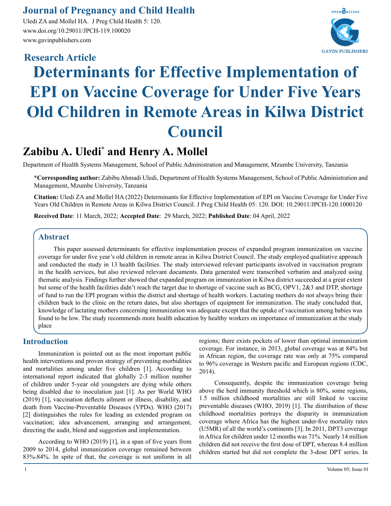# **Journal of Pregnancy and Child Health**

Uledi ZA and Mollel HA. J Preg Child Health 5: 120. www.doi.org/10.29011/JPCH-119.100020 www.gavinpublishers.com



# **Determinants for Effective Implementation of EPI on Vaccine Coverage for Under Five Years Old Children in Remote Areas in Kilwa District Council Research Article**

# **Zabibu A. Uledi\* and Henry A. Mollel**

Department of Health Systems Management, School of Public Administration and Management, Mzumbe University, Tanzania

\***Corresponding author:** Zabibu Ahmadi Uledi, Department of Health Systems Management, School of Public Administration and Management, Mzumbe University, Tanzania

**Citation:** Uledi ZA and Mollel HA (2022) Determinants for Effective Implementation of EPI on Vaccine Coverage for Under Five Years Old Children in Remote Areas in Kilwa District Council. J Preg Child Health 05: 120. DOI: 10.29011/JPCH-120.1000120

**Received Date**: 11 March, 2022; **Accepted Date**: 29 March, 2022; **Published Date**: 04 April, 2022

# **Abstract**

This paper assessed determinants for effective implementation process of expanded program immunization on vaccine coverage for under five year's old children in remote areas in Kilwa District Council. The study employed qualitative approach and conducted the study in 13 health facilities. The study interviewed relevant participants involved in vaccination program in the health services, but also reviewed relevant documents. Data generated were transcribed verbatim and analyzed using thematic analysis. Findings further showed that expanded program on immunization in Kilwa district succeeded at a great extent but some of the health facilities didn't reach the target due to shortage of vaccine such as BCG, OPV1, 2&3 and DTP, shortage of fund to run the EPI program within the district and shortage of health workers. Lactating mothers do not always bring their children back to the clinic on the return dates, but also shortages of equipment for immunization. The study concluded that, knowledge of lactating mothers concerning immunization was adequate except that the uptake of vaccination among babies was found to be low. The study recommends more health education by healthy workers on importance of immunization at the study place

# **Introduction**

Immunization is pointed out as the most important public health interventions and proven strategy of preventing morbidities and mortalities among under five children [1]. According to international report indicated that globally 2-3 million number of children under 5-year old youngsters are dying while others being disabled due to inoculation just [1]. As per World WHO (2019) [1], vaccination deflects ailment or illness, disability, and death from Vaccine-Preventable Diseases (VPDs). WHO (2017) [2] distinguishes the rules for leading an extended program on vaccination; idea advancement, arranging and arrangement, directing the audit, blend and suggestion and implementation.

According to WHO (2019) [1], in a span of five years from 2009 to 2014, global immunization coverage remained between 83%-84%. In spite of that, the coverage is not uniform in all

regions; there exists pockets of lower than optimal immunization coverage. For instance, in 2013, global coverage was at 84% but in African region, the coverage rate was only at 75% compared to 96% coverage in Western pacific and European regions (CDC, 2014).

Consequently, despite the immunization coverage being above the herd immunity threshold which is 80%, some regions, 1.5 million childhood mortalities are still linked to vaccine preventable diseases (WHO, 2019) [1]. The distribution of these childhood mortalities portrays the disparity in immunization coverage where Africa has the highest under-five mortality rates (U5MR) of all the world's continents [3]. In 2011, DPT3 coverage in Africa for children under 12 months was 71%. Nearly 14 million children did not receive the first dose of DPT, whereas 8.4 million children started but did not complete the 3-dose DPT series. In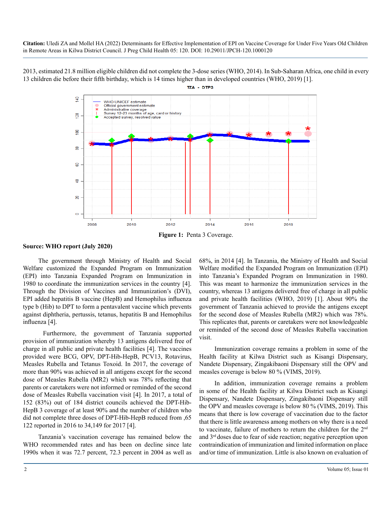2013, estimated 21.8 million eligible children did not complete the 3-dose series (WHO, 2014). In Sub-Saharan Africa, one child in every 13 children die before their fifth birthday, which is 14 times higher than in developed countries (WHO, 2019) [1].

TZA - DTP3



**Figure 1:** Penta 3 Coverage.

**Source: WHO report (July 2020)**

The government through Ministry of Health and Social Welfare customized the Expanded Program on Immunization (EPI) into Tanzania Expanded Program on Immunization in 1980 to coordinate the immunization services in the country [4]. Through the Division of Vaccines and Immunization's (DVI), EPI added hepatitis B vaccine (HepB) and Hemophilus influenza type b (Hib) to DPT to form a pentavalent vaccine which prevents against diphtheria, pertussis, tetanus, hepatitis B and Hemophilus influenza [4].

 Furthermore, the government of Tanzania supported provision of immunization whereby 13 antigens delivered free of charge in all public and private health facilities [4]. The vaccines provided were BCG, OPV, DPT-Hib-HepB, PCV13, Rotavirus, Measles Rubella and Tetanus Toxoid. In 2017, the coverage of more than 90% was achieved in all antigens except for the second dose of Measles Rubella (MR2) which was 78% reflecting that parents or caretakers were not informed or reminded of the second dose of Measles Rubella vaccination visit [4]. In 2017, a total of 152 (83%) out of 184 district councils achieved the DPT-Hib-HepB 3 coverage of at least 90% and the number of children who did not complete three doses of DPT-Hib-HepB reduced from ,65 122 reported in 2016 to 34,149 for 2017 [4].

Tanzania's vaccination coverage has remained below the WHO recommended rates and has been on decline since late 1990s when it was 72.7 percent, 72.3 percent in 2004 as well as 68%, in 2014 [4]. In Tanzania, the Ministry of Health and Social Welfare modified the Expanded Program on Immunization (EPI) into Tanzania's Expanded Program on Immunization in 1980. This was meant to harmonize the immunization services in the country, whereas 13 antigens delivered free of charge in all public and private health facilities (WHO, 2019) [1]. About 90% the government of Tanzania achieved to provide the antigens except for the second dose of Measles Rubella (MR2) which was 78%. This replicates that, parents or caretakers were not knowledgeable or reminded of the second dose of Measles Rubella vaccination visit.

Immunization coverage remains a problem in some of the Health facility at Kilwa District such as Kisangi Dispensary, Nandete Dispensary, Zingakibaoni Dispensary still the OPV and measles coverage is below 80 % (VIMS, 2019).

In addition, immunization coverage remains a problem in some of the Health facility at Kilwa District such as Kisangi Dispensary, Nandete Dispensary, Zingakibaoni Dispensary still the OPV and measles coverage is below 80 % (VIMS, 2019). This means that there is low coverage of vaccination due to the factor that there is little awareness among mothers on why there is a need to vaccinate, failure of mothers to return the children for the 2<sup>nd</sup> and 3rd doses due to fear of side reaction; negative perception upon contraindication of immunization and limited information on place and/or time of immunization. Little is also known on evaluation of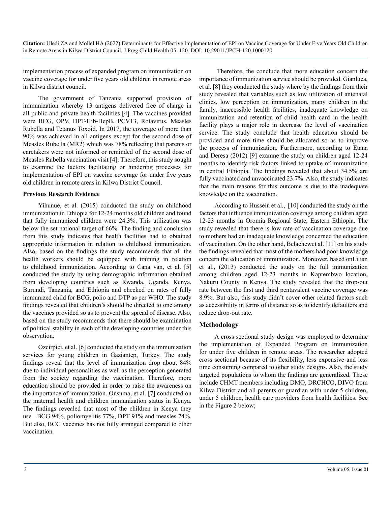implementation process of expanded program on immunization on vaccine coverage for under five years old children in remote areas in Kilwa district council.

The government of Tanzania supported provision of immunization whereby 13 antigens delivered free of charge in all public and private health facilities [4]. The vaccines provided were BCG, OPV, DPT-Hib-HepB, PCV13, Rotavirus, Measles Rubella and Tetanus Toxoid. In 2017, the coverage of more than 90% was achieved in all antigens except for the second dose of Measles Rubella (MR2) which was 78% reflecting that parents or caretakers were not informed or reminded of the second dose of Measles Rubella vaccination visit [4]. Therefore, this study sought to examine the factors facilitating or hindering processes for implementation of EPI on vaccine coverage for under five years old children in remote areas in Kilwa District Council.

#### **Previous Research Evidence**

Yihunue, et al. (2015) conducted the study on childhood immunization in Ethiopia for 12-24 months old children and found that fully immunized children were 24.3%. This utilization was below the set national target of 66%. The finding and conclusion from this study indicates that health facilities had to obtained appropriate information in relation to childhood immunization. Also, based on the findings the study recommends that all the health workers should be equipped with training in relation to childhood immunization. According to Cana van, et al. [5] conducted the study by using demographic information obtained from developing countries such as Rwanda, Uganda, Kenya, Burundi, Tanzania, and Ethiopia and checked on rates of fully immunized child for BCG, polio and DTP as per WHO. The study findings revealed that children's should be directed to one among the vaccines provided so as to prevent the spread of disease. Also, based on the study recommends that there should be examination of political stability in each of the developing countries under this observation.

Ozcirpici, et al. [6] conducted the study on the immunization services for young children in Gaziantep, Turkey. The study findings reveal that the level of immunization drop about 84% due to individual personalities as well as the perception generated from the society regarding the vaccination. Therefore, more education should be provided in order to raise the awareness on the importance of immunization. Onsuma, et al. [7] conducted on the maternal health and children immunization status in Kenya. The findings revealed that most of the children in Kenya they use BCG 94%, poliomyelitis 77%, DPT 91% and measles 74%. But also, BCG vaccines has not fully arranged compared to other vaccination.

 Therefore, the conclude that more education concern the importance of immunization service should be provided. Gianluca, et al. [8] they conducted the study where by the findings from their study revealed that variables such as low utilization of antenatal clinics, low perception on immunization, many children in the family, inaccessible health facilities, inadequate knowledge on immunization and retention of child health card in the health facility plays a major role in decrease the level of vaccination service. The study conclude that health education should be provided and more time should be allocated so as to improve the process of immunization. Furthermore, according to Etana and Deresa (2012) [9] examne the study on children aged 12-24 months to identify risk factors linked to uptake of immunization in central Ethiopia. The findings revealed that about 34.5% are fully vaccinated and unvaccinated 23.7%. Also, the study indicates that the main reasons for this outcome is due to the inadequate knowledge on the vaccination.

According to Hussein et al., [10] conducted the study on the factors that influence immunization coverage among children aged 12-23 months in Oromia Regional State, Eastern Ethiopia. The study revealed that there is low rate of vaccination coverage due to mothers had an inadequate knowledge concerned the education of vaccination. On the other hand, Belachewet al. [11] on his study the findings revealed that most of the mothers had poor knowledge concern the education of immunization. Moreover, based onLilian et al., (2013) conducted the study on the full immunization among children aged 12-23 months in Kaptembwo location, Nakuru County in Kenya. The study revealed that the drop-out rate between the first and third pentavalent vaccine coverage was 8.9%. But also, this study didn't cover other related factors such as accessibility in terms of distance so as to identify defaulters and reduce drop-out rate.

#### **Methodology**

A cross sectional study design was employed to determine the implementation of Expanded Program on Immunization for under five children in remote areas. The researcher adopted cross sectional because of its flexibility, less expensive and less time consuming compared to other study designs. Also, the study targeted populations to whom the findings are generalized. These include CHMT members including DMO, DRCHCO, DIVO from Kilwa District and all parents or guardian with under 5 children, under 5 children, health care providers from health facilities. See in the Figure 2 below;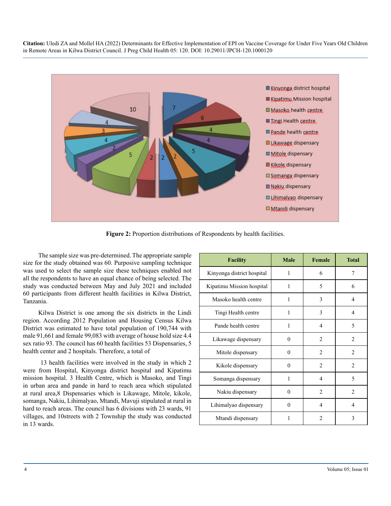

**Figure 2:** Proportion distributions of Respondents by health facilities.

The sample size was pre-determined. The appropriate sample size for the study obtained was 60. Purposive sampling technique was used to select the sample size these techniques enabled not all the respondents to have an equal chance of being selected. The study was conducted between May and July 2021 and included 60 participants from different health facilities in Kilwa District, Tanzania.

Kilwa District is one among the six districts in the Lindi region. According 2012 Population and Housing Census Kilwa District was estimated to have total population of 190,744 with male 91,661 and female 99,083 with average of house hold size 4.4 sex ratio 93. The council has 60 health facilities 53 Dispensaries, 5 health center and 2 hospitals. Therefore, a total of

 13 health facilities were involved in the study in which 2 were from Hospital, Kinyonga district hospital and Kipatimu mission hospital. 3 Health Centre, which is Masoko, and Tingi in urban area and pande in hard to reach area which stipulated at rural area,8 Dispensaries which is Likawage, Mitole, kikole, somanga, Nakiu, Lihimalyao, Mtandi, Mavuji stipulated at rural in hard to reach areas. The council has 6 divisions with 23 wards, 91 villages, and 10streets with 2 Township the study was conducted in 13 wards.

| Facility                   | <b>Male</b> | Female         | <b>Total</b>   |
|----------------------------|-------------|----------------|----------------|
| Kinyonga district hospital | 1           | 6              | 7              |
| Kipatimu Mission hospital  | 1           | 5              | 6              |
| Masoko health centre       | 1           | 3              | 4              |
| Tingi Health centre        | 1           | 3              | 4              |
| Pande health centre        | 1           | $\overline{4}$ | 5              |
| Likawage dispensary        | $\theta$    | $\overline{2}$ | $\overline{2}$ |
| Mitole dispensary          | 0           | $\overline{2}$ | $\overline{c}$ |
| Kikole dispensary          | 0           | $\overline{2}$ | $\overline{c}$ |
| Somanga dispensary         | 1           | $\overline{4}$ | 5              |
| Nakiu dispensary           | $\theta$    | $\overline{2}$ | $\overline{c}$ |
| Lihimalyao dispensary      | 0           | 4              | 4              |
| Mtandi dispensary          |             | 2              | 3              |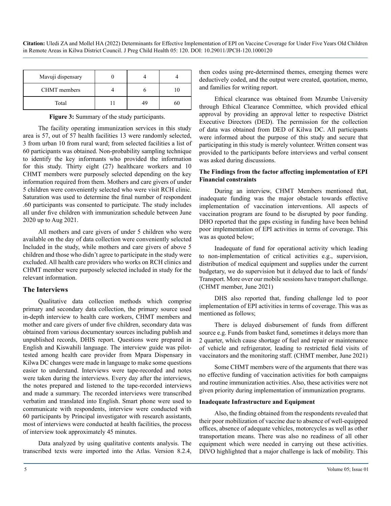| Mavuji dispensary   |    |    |
|---------------------|----|----|
| <b>CHMT</b> members |    |    |
| Total               | 49 | 60 |

**Figure 3:** Summary of the study participants.

The facility operating immunization services in this study area is 57, out of 57 health facilities 13 were randomly selected, 3 from urban 10 from rural ward; from selected facilities a list of 60 participants was obtained. Non-probability sampling technique to identify the key informants who provided the information for this study. Thirty eight (27) healthcare workers and 10 CHMT members were purposely selected depending on the key information required from them. Mothers and care givers of under 5 children were conveniently selected who were visit RCH clinic. Saturation was used to determine the final number of respondent .60 participants was consented to participate. The study includes all under five children with immunization schedule between June 2020 up to Aug 2021.

All mothers and care givers of under 5 children who were available on the day of data collection were conveniently selected Included in the study, while mothers and care givers of above 5 children and those who didn't agree to participate in the study were excluded. All health care providers who works on RCH clinics and CHMT member were purposely selected included in study for the relevant information.

#### **The Interviews**

Qualitative data collection methods which comprise primary and secondary data collection, the primary source used in-depth interview to health care workers, CHMT members and mother and care givers of under five children, secondary data was obtained from various documentary sources including publish and unpublished records, DHIS report. Questions were prepared in English and Kiswahili language. The interview guide was pilottested among health care provider from Mpara Dispensary in Kilwa DC changes were made in language to make some questions easier to understand. Interviews were tape-recorded and notes were taken during the interviews. Every day after the interviews, the notes prepared and listened to the tape-recorded interviews and made a summary. The recorded interviews were transcribed verbatim and translated into English. Smart phone were used to communicate with respondents, interview were conducted with 60 participants by Principal investigator with research assistants, most of interviews were conducted at health facilities, the process of interview took approximately 45 minutes.

Data analyzed by using qualitative contents analysis. The transcribed texts were imported into the Atlas. Version 8.2.4, then codes using pre-determined themes, emerging themes were deductively coded, and the output were created, quotation, memo, and families for writing report.

Ethical clearance was obtained from Mzumbe University through Ethical Clearance Committee, which provided ethical approval by providing an approval letter to respective District Executive Directors (DED). The permission for the collection of data was obtained from DED of Kilwa DC. All participants were informed about the purpose of this study and secure that participating in this study is merely volunteer. Written consent was provided to the participants before interviews and verbal consent was asked during discussions.

#### **The Findings from the factor affecting implementation of EPI Financial constraints**

During an interview, CHMT Members mentioned that, inadequate funding was the major obstacle towards effective implementation of vaccination interventions. All aspects of vaccination program are found to be disrupted by poor funding. DHO reported that the gaps existing in funding have been behind poor implementation of EPI activities in terms of coverage. This was as quoted below;

Inadequate of fund for operational activity which leading to non-implementation of critical activities e.g., supervision, distribution of medical equipment and supplies under the current budgetary, we do supervision but it delayed due to lack of funds/ Transport. More over our mobile sessions have transport challenge. (CHMT member, June 2021)

DHS also reported that, funding challenge led to poor implementation of EPI activities in terms of coverage. This was as mentioned as follows;

There is delayed disbursement of funds from different source e.g. Funds from basket fund, sometimes it delays more than 2 quarter, which cause shortage of fuel and repair or maintenance of vehicle and refrigerator, leading to restricted field visits of vaccinators and the monitoring staff. (CHMT member, June 2021)

Some CHMT members were of the arguments that there was no effective funding of vaccination activities for both campaigns and routine immunization activities. Also, these activities were not given priority during implementation of immunization programs.

#### **Inadequate Infrastructure and Equipment**

Also, the finding obtained from the respondents revealed that their poor mobilization of vaccine due to absence of well-equipped offices, absence of adequate vehicles, motorcycles as well as other transportation means. There was also no readiness of all other equipment which were needed in carrying out these activities. DIVO highlighted that a major challenge is lack of mobility. This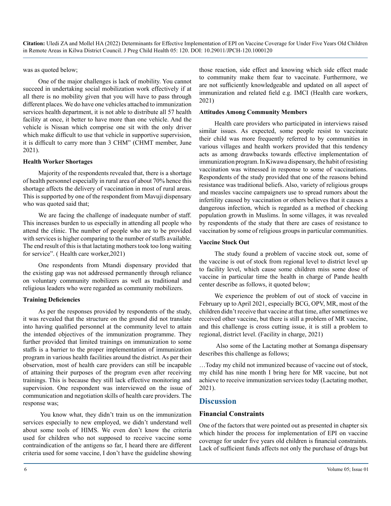was as quoted below;

One of the major challenges is lack of mobility. You cannot succeed in undertaking social mobilization work effectively if at all there is no mobility given that you will have to pass through different places. We do have one vehicles attached to immunization services health department, it is not able to distribute all 57 health facility at once, it better to have more than one vehicle. And the vehicle is Nissan which comprise one sit with the only driver which make difficult to use that vehicle in supportive supervision, it is difficult to carry more than 3 CHM" (CHMT member, June 2021).

#### **Health Worker Shortages**

Majority of the respondents revealed that, there is a shortage of health personnel especially in rural area of about 70% hence this shortage affects the delivery of vaccination in most of rural areas. This is supported by one of the respondent from Mavuji dispensary who was quoted said that;

We are facing the challenge of inadequate number of staff. This increases burden to us especially in attending all people who attend the clinic. The number of people who are to be provided with services is higher comparing to the number of staffs available. The end result of this is that lactating mothers took too long waiting for service". ( Health care worker,2021)

One respondents from Mtandi dispensary provided that the existing gap was not addressed permanently through reliance on voluntary community mobilizers as well as traditional and religious leaders who were regarded as community mobilizers.

#### **Training Deficiencies**

As per the responses provided by respondents of the study, it was revealed that the structure on the ground did not translate into having qualified personnel at the community level to attain the intended objectives of the immunization programme. They further provided that limited trainings on immunization to some staffs is a barrier to the proper implementation of immunization program in various health facilities around the district. As per their observation, most of health care providers can still be incapable of attaining their purposes of the program even after receiving trainings. This is because they still lack effective monitoring and supervision. One respondent was interviewed on the issue of communication and negotiation skills of health care providers. The response was;

 You know what, they didn't train us on the immunization services especially to new employed, we didn't understand well about some tools of HIMS. We even don't know the criteria used for children who not supposed to receive vaccine some contraindication of the antigens so far, I heard there are different criteria used for some vaccine, I don't have the guideline showing those reaction, side effect and knowing which side effect made to community make them fear to vaccinate. Furthermore, we are not sufficiently knowledgeable and updated on all aspect of immunization and related field e.g. IMCI (Health care workers, 2021)

#### **Attitudes Among Community Members**

Health care providers who participated in interviews raised similar issues. As expected, some people resist to vaccinate their child was more frequently referred to by communities in various villages and health workers provided that this tendency acts as among drawbacks towards effective implementation of immunization program. In Kiwawa dispensary, the habit of resisting vaccination was witnessed in response to some of vaccinations. Respondents of the study provided that one of the reasons behind resistance was traditional beliefs. Also, variety of religious groups and measles vaccine campaigners use to spread rumors about the infertility caused by vaccination or others believes that it causes a dangerous infection, which is regarded as a method of checking population growth in Muslims. In some villages, it was revealed by respondents of the study that there are cases of resistance to vaccination by some of religious groups in particular communities.

#### **Vaccine Stock Out**

The study found a problem of vaccine stock out, some of the vaccine is out of stock from regional level to district level up to facility level, which cause some children miss some dose of vaccine in particular time the health in charge of Pande health center describe as follows, it quoted below;

We experience the problem of out of stock of vaccine in February up to April 2021, especially BCG, OPV, MR, most of the children didn't receive that vaccine at that time, after sometimes we received other vaccine, but there is still a problem of MR vaccine, and this challenge is cross cutting issue, it is still a problem to regional, district level. (Facility in charge, 2021)

 Also some of the Lactating mother at Somanga dispensary describes this challenge as follows;

…Today my child not immunized because of vaccine out of stock, my child has nine month I bring here for MR vaccine, but not achieve to receive immunization services today (Lactating mother, 2021).

# **Discussion**

#### **Financial Constraints**

One of the factors that were pointed out as presented in chapter six which hinder the process for implementation of EPI on vaccine coverage for under five years old children is financial constraints. Lack of sufficient funds affects not only the purchase of drugs but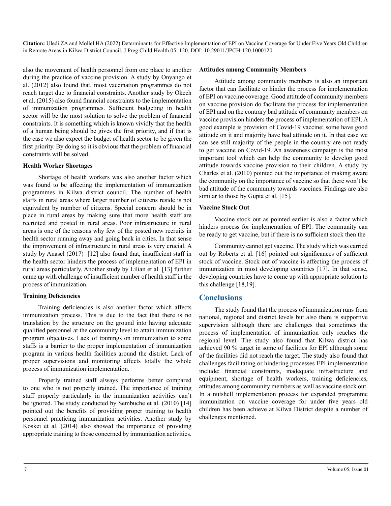also the movement of health personnel from one place to another during the practice of vaccine provision. A study by Onyango et al. (2012) also found that, most vaccination programmes do not reach target due to financial constraints. Another study by Okech et al. (2015) also found financial constraints to the implementation of immunization programmes. Sufficient budgeting in health sector will be the most solution to solve the problem of financial constraints. It is something which is known vividly that the health of a human being should be gives the first priority, and if that is the case we also expect the budget of health sector to be given the first priority. By doing so it is obvious that the problem of financial constraints will be solved.

#### **Health Worker Shortages**

Shortage of health workers was also another factor which was found to be affecting the implementation of immunization programmes in Kilwa district council. The number of health staffs in rural areas where larger number of citizens reside is not equivalent by number of citizens. Special concern should be in place in rural areas by making sure that more health staff are recruited and posted in rural areas. Poor infrastructure in rural areas is one of the reasons why few of the posted new recruits in health sector running away and going back in cities. In that sense the improvement of infrastructure in rural areas is very crucial. A study by Anasel (2017) [12] also found that, insufficient staff in the health sector hinders the process of implementation of EPI in rural areas particularly. Another study by Lilian et al. [13] further came up with challenge of insufficient number of health staff in the process of immunization.

#### **Training Deficiencies**

Training deficiencies is also another factor which affects immunization process. This is due to the fact that there is no translation by the structure on the ground into having adequate qualified personnel at the community level to attain immunization program objectives. Lack of trainings on immunization to some staffs is a barrier to the proper implementation of immunization program in various health facilities around the district. Lack of proper supervisions and monitoring affects totally the whole process of immunization implementation.

Properly trained staff always performs better compared to one who is not properly trained. The importance of training staff properly particularly in the immunization activities can't be ignored. The study conducted by Sembuche et al. (2010) [14] pointed out the benefits of providing proper training to health personnel practicing immunization activities. Another study by Koskei et al. (2014) also showed the importance of providing appropriate training to those concerned by immunization activities.

#### **Attitudes among Community Members**

Attitude among community members is also an important factor that can facilitate or hinder the process for implementation of EPI on vaccine coverage. Good attitude of community members on vaccine provision do facilitate the process for implementation of EPI and on the contrary bad attitude of community members on vaccine provision hinders the process of implementation of EPI. A good example is provision of Covid-19 vaccine; some have good attitude on it and majority have bad attitude on it. In that case we can see still majority of the people in the country are not ready to get vaccine on Covid-19. An awareness campaign is the most important tool which can help the community to develop good attitude towards vaccine provision to their children. A study by Charles et al. (2010) pointed out the importance of making aware the community on the importance of vaccine so that there won't be bad attitude of the community towards vaccines. Findings are also similar to those by Gupta et al. [15].

#### **Vaccine Stock Out**

Vaccine stock out as pointed earlier is also a factor which hinders process for implementation of EPI. The community can be ready to get vaccine, but if there is no sufficient stock then the

Community cannot get vaccine. The study which was carried out by Roberts et al. [16] pointed out significances of sufficient stock of vaccine. Stock out of vaccine is affecting the process of immunization in most developing countries [17]. In that sense, developing countries have to come up with appropriate solution to this challenge [18,19].

## **Conclusions**

The study found that the process of immunization runs from national, regional and district levels but also there is supportive supervision although there are challenges that sometimes the process of implementation of immunization only reaches the regional level. The study also found that Kilwa district has achieved 90 % target in some of facilities for EPI although some of the facilities did not reach the target. The study also found that challenges facilitating or hindering processes EPI implementation include; financial constraints, inadequate infrastructure and equipment, shortage of health workers, training deficiencies, attitudes among community members as well as vaccine stock out. In a nutshell implementation process for expanded programme immunization on vaccine coverage for under five years old children has been achieve at Kilwa District despite a number of challenges mentioned.